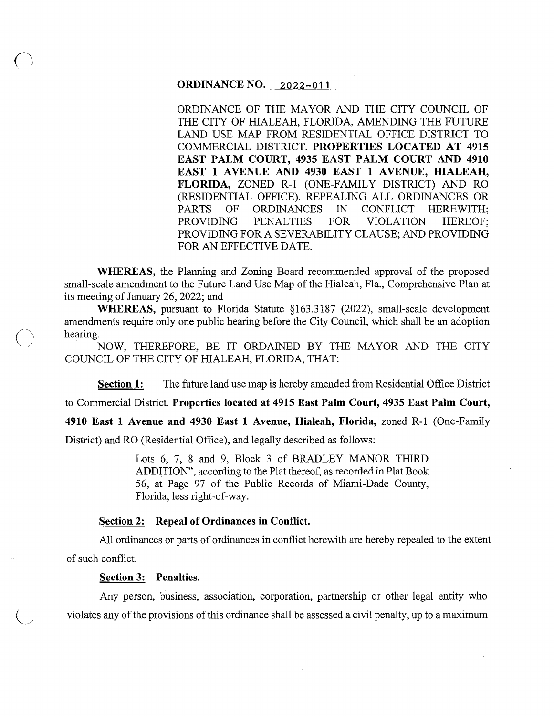## **ORDINANCE NO.** 2022-011

ORDINANCE OF THE MAYOR AND THE CITY COUNCIL OF THE CITY OF HIALEAH, FLORIDA, AMENDING THE FUTURE LAND USE MAP FROM RESIDENTIAL OFFICE DISTRICT TO COMMERCIAL DISTRICT. **PROPERTIES LOCATED AT 4915 EAST PALM COURT, 4935 EAST PALM COURT AND 4910**  EAST 1 AVENUE AND 4930 EAST 1 AVENUE, HIALEAH, **FLORIDA,** ZONED R-1 (ONE-FAMILY DISTRICT) AND RO (RESIDENTIAL OFFICE). REPEALING ALL ORDINANCES OR PARTS OF ORDINANCES IN CONFLICT HEREWITH; PROVIDING PENALTIES FOR VIOLATION HEREOF; PROVIDING FOR A SEVERABILITY CLAUSE; AND PROVIDING FOR AN EFFECTIVE DATE.

**WHEREAS,** the Planning and Zoning Board recommended approval of the proposed small-scale amendment to the Future Land Use Map of the Hialeah, Fla., Comprehensive Plan at its meeting of January 26, 2022; and

**WHEREAS,** pursuant to Florida Statute §163.3187 (2022), small-scale development amendments require only one public hearing before the City Council, which shall be an adoption hearing.<br> *(\ \ hearing.*  $\sum_{n=1}^{\infty}$   $\sum_{n=1}^{\infty}$   $\sum_{n=1}^{\infty}$   $\sum_{n=1}^{\infty}$   $\sum_{n=1}^{\infty}$   $\sum_{n=1}^{\infty}$   $\sum_{n=1}^$ 

NOW, THEREFORE, BE IT ORDAINED BY THE MAYOR AND THE CITY COUNCIL OF THE CITY OF HIALEAH, FLORIDA, THAT:

**Section 1:** The future land use map is hereby amended from Residential Office District

to Commercial District. **Properties located at 4915 East Palm Court, 4935 East Palm Court,** 

**4910 East 1 Avenue and 4930 East 1 Avenue, Hialeah, Florida,** zoned R-1 (One-Family

District) and RO (Residential Office), and legally described as follows:

Lots 6, 7, 8 and 9, Block 3 of BRADLEY MANOR THIRD ADDITION", according to the Plat thereof, as recorded in Plat Book 56, at Page 97 of the Public Records of Miami-Dade County, Florida, less right-of-way.

# **Section 2: Repeal of Ordinances in Conflict.**

All ordinances or parts of ordinances in conflict herewith are hereby repealed to the extent of such conflict.

#### **Section 3: Penalties.**

Any person, business, association, corporation, partnership or other legal entity who violates any of the provisions of this ordinance shall be assessed a civil penalty, up to a maximum